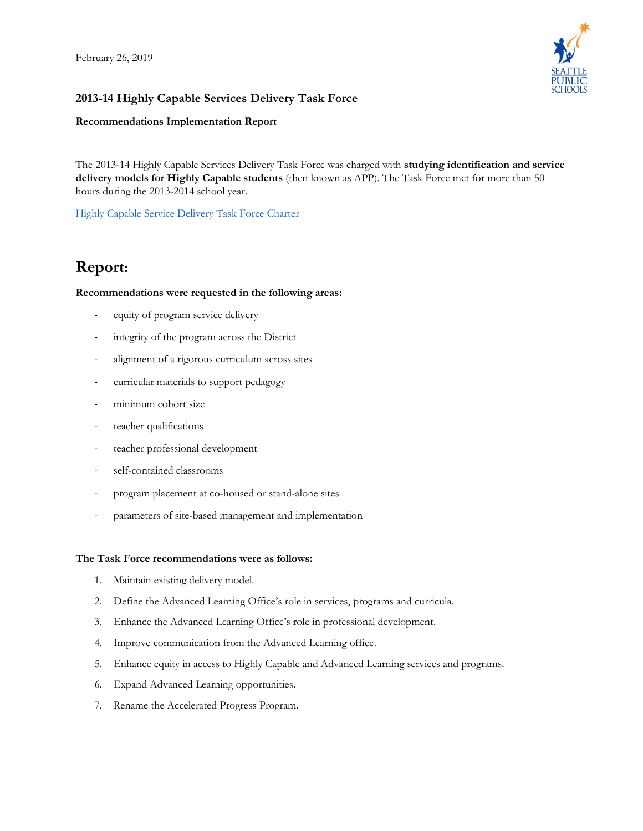

## **2013-14 Highly Capable Services Delivery Task Force**

#### **Recommendations Implementation Report**

 The 2013-14 Highly Capable Services Delivery Task Force was charged with **studying identification and service delivery models for Highly Capable students** (then known as APP). The Task Force met for more than 50 hours during the 2013-2014 school year.

[Highly Capable Service Delivery Task Force Charter](https://www.seattleschools.org/UserFiles/Servers/Server_543/File/District/Departments/advancedlearning/hcsac/Service%20Delivery%20Model%20Task%20Force%20Charter_FINAL_1%2023%2014.pdf) 

# **Report:**

#### **Recommendations were requested in the following areas:**

- equity of program service delivery
- integrity of the program across the District
- alignment of a rigorous curriculum across sites
- curricular materials to support pedagogy
- minimum cohort size
- teacher qualifications
- teacher professional development
- self-contained classrooms
- program placement at co-housed or stand-alone sites
- parameters of site-based management and implementation

#### **The Task Force recommendations were as follows:**

- 1. Maintain existing delivery model.
- 2. Define the Advanced Learning Office's role in services, programs and curricula.
- 3. Enhance the Advanced Learning Office's role in professional development.
- 4. Improve communication from the Advanced Learning office.
- 5. Enhance equity in access to Highly Capable and Advanced Learning services and programs.
- 6. Expand Advanced Learning opportunities.
- 7. Rename the Accelerated Progress Program.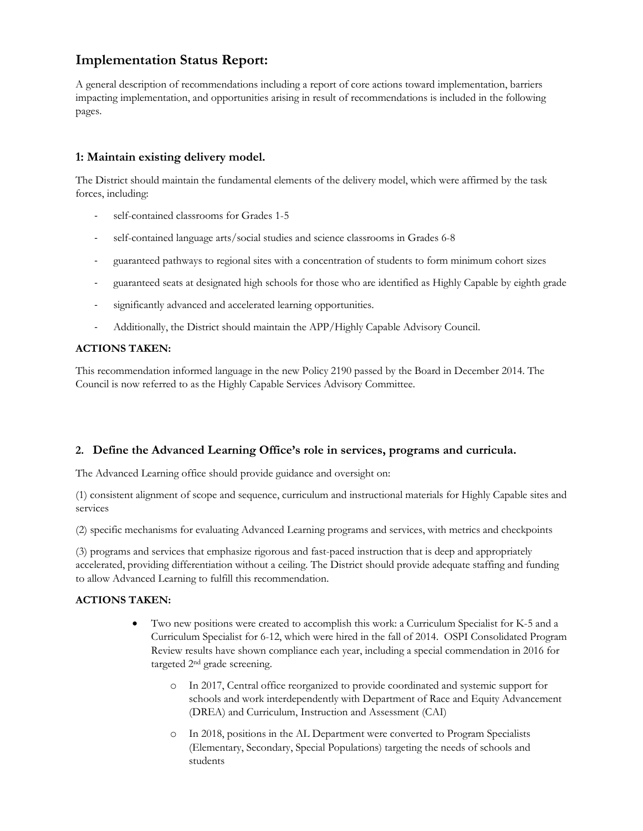## **Implementation Status Report:**

 A general description of recommendations including a report of core actions toward implementation, barriers impacting implementation, and opportunities arising in result of recommendations is included in the following pages.

### **1: Maintain existing delivery model.**

 The District should maintain the fundamental elements of the delivery model, which were affirmed by the task forces, including:

- self-contained classrooms for Grades 1-5
- self-contained language arts/social studies and science classrooms in Grades 6-8
- guaranteed pathways to regional sites with a concentration of students to form minimum cohort sizes
- guaranteed seats at designated high schools for those who are identified as Highly Capable by eighth grade
- significantly advanced and accelerated learning opportunities.
- Additionally, the District should maintain the APP/Highly Capable Advisory Council.

#### **ACTIONS TAKEN:**

 This recommendation informed language in the new Policy 2190 passed by the Board in December 2014. The Council is now referred to as the Highly Capable Services Advisory Committee.

#### **2. Define the Advanced Learning Office's role in services, programs and curricula.**

The Advanced Learning office should provide guidance and oversight on:

 (1) consistent alignment of scope and sequence, curriculum and instructional materials for Highly Capable sites and services

(2) specific mechanisms for evaluating Advanced Learning programs and services, with metrics and checkpoints

 (3) programs and services that emphasize rigorous and fast-paced instruction that is deep and appropriately accelerated, providing differentiation without a ceiling. The District should provide adequate staffing and funding to allow Advanced Learning to fulfill this recommendation.

#### **ACTIONS TAKEN:**

- • Two new positions were created to accomplish this work: a Curriculum Specialist for K-5 and a Curriculum Specialist for 6-12, which were hired in the fall of 2014. OSPI Consolidated Program Review results have shown compliance each year, including a special commendation in 2016 for targeted 2nd grade screening.
	- o In 2017, Central office reorganized to provide coordinated and systemic support for (DREA) and Curriculum, Instruction and Assessment (CAI) schools and work interdependently with Department of Race and Equity Advancement
	- o In 2018, positions in the AL Department were converted to Program Specialists (Elementary, Secondary, Special Populations) targeting the needs of schools and students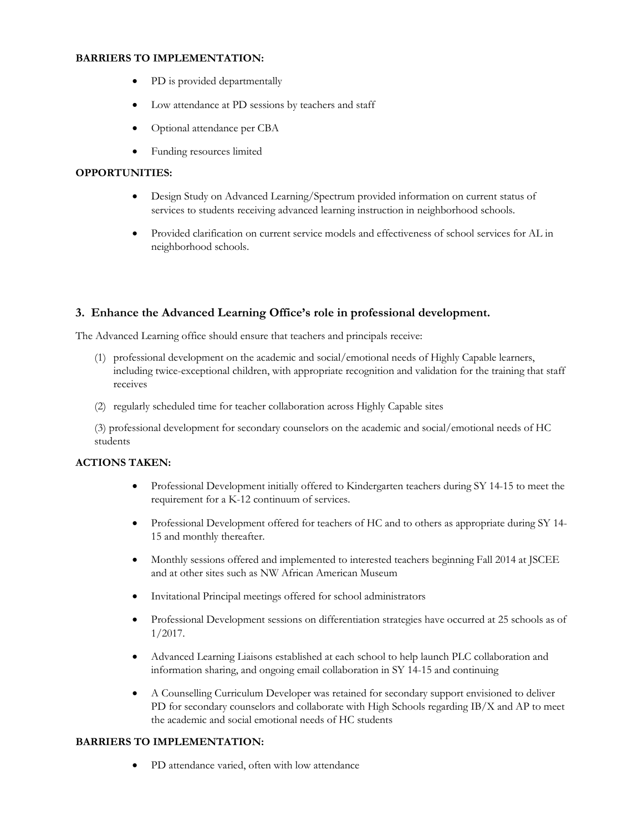#### **BARRIERS TO IMPLEMENTATION:**

- PD is provided departmentally
- Low attendance at PD sessions by teachers and staff
- Optional attendance per CBA
- Funding resources limited

#### **OPPORTUNITIES:**

- • Design Study on Advanced Learning/Spectrum provided information on current status of services to students receiving advanced learning instruction in neighborhood schools.
- • Provided clarification on current service models and effectiveness of school services for AL in neighborhood schools.

#### **3. Enhance the Advanced Learning Office's role in professional development.**

The Advanced Learning office should ensure that teachers and principals receive:

- (1) professional development on the academic and social/emotional needs of Highly Capable learners, including twice-exceptional children, with appropriate recognition and validation for the training that staff receives
- (2) regularly scheduled time for teacher collaboration across Highly Capable sites

(3) professional development for secondary counselors on the academic and social/emotional needs of HC students

#### **ACTIONS TAKEN:**

- • Professional Development initially offered to Kindergarten teachers during SY 14-15 to meet the requirement for a K-12 continuum of services.
- • Professional Development offered for teachers of HC and to others as appropriate during SY 14- 15 and monthly thereafter.
- • Monthly sessions offered and implemented to interested teachers beginning Fall 2014 at JSCEE and at other sites such as NW African American Museum
- Invitational Principal meetings offered for school administrators
- Professional Development sessions on differentiation strategies have occurred at 25 schools as of 1/2017.
- • Advanced Learning Liaisons established at each school to help launch PLC collaboration and information sharing, and ongoing email collaboration in SY 14-15 and continuing
- PD for secondary counselors and collaborate with High Schools regarding IB/X and AP to meet the academic and social emotional needs of HC students • A Counselling Curriculum Developer was retained for secondary support envisioned to deliver

#### <span id="page-2-0"></span>**BARRIERS TO IMPLEMENTATION:**

PD attendance varied, often with low attendance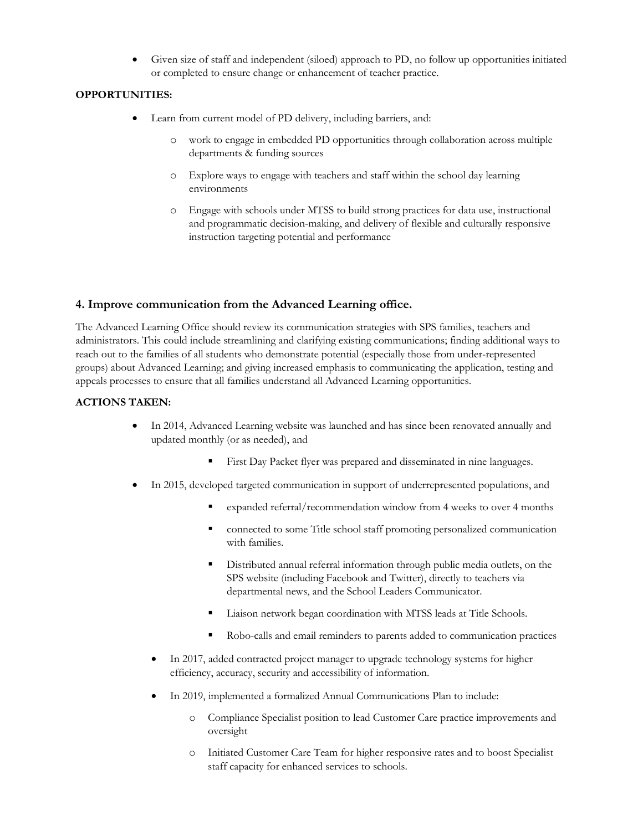• Given size of staff and independent (siloed) approach to PD, no follow up opportunities initiated or completed to ensure change or enhancement of teacher practice.

#### **OPPORTUNITIES:**

- • Learn from current model of PD delivery, including barriers, and:
	- o work to engage in embedded PD opportunities through collaboration across multiple departments & funding sources
	- o Explore ways to engage with teachers and staff within the school day learning environments
	- o Engage with schools under MTSS to build strong practices for data use, instructional and programmatic decision-making, and delivery of flexible and culturally responsive instruction targeting potential and performance

#### **4. Improve communication from the Advanced Learning office.**

 groups) about Advanced Learning; and giving increased emphasis to communicating the application, testing and appeals processes to ensure that all families understand all Advanced Learning opportunities. The Advanced Learning Office should review its communication strategies with SPS families, teachers and administrators. This could include streamlining and clarifying existing communications; finding additional ways to reach out to the families of all students who demonstrate potential (especially those from under-represented

#### **ACTIONS TAKEN:**

- updated monthly (or as needed), and • In 2014, Advanced Learning website was launched and has since been renovated annually and
	- First Day Packet flyer was prepared and disseminated in nine languages.
- • In 2015, developed targeted communication in support of underrepresented populations, and
	- expanded referral/recommendation window from 4 weeks to over 4 months
	- connected to some Title school staff promoting personalized communication with families.
	- departmental news, and the School Leaders Communicator. Distributed annual referral information through public media outlets, on the SPS website (including Facebook and Twitter), directly to teachers via
	- Liaison network began coordination with MTSS leads at Title Schools.
	- Robo-calls and email reminders to parents added to communication practices
	- • In 2017, added contracted project manager to upgrade technology systems for higher efficiency, accuracy, security and accessibility of information.
	- In 2019, implemented a formalized Annual Communications Plan to include:
		- o Compliance Specialist position to lead Customer Care practice improvements and oversight
		- o Initiated Customer Care Team for higher responsive rates and to boost Specialist staff capacity for enhanced services to schools.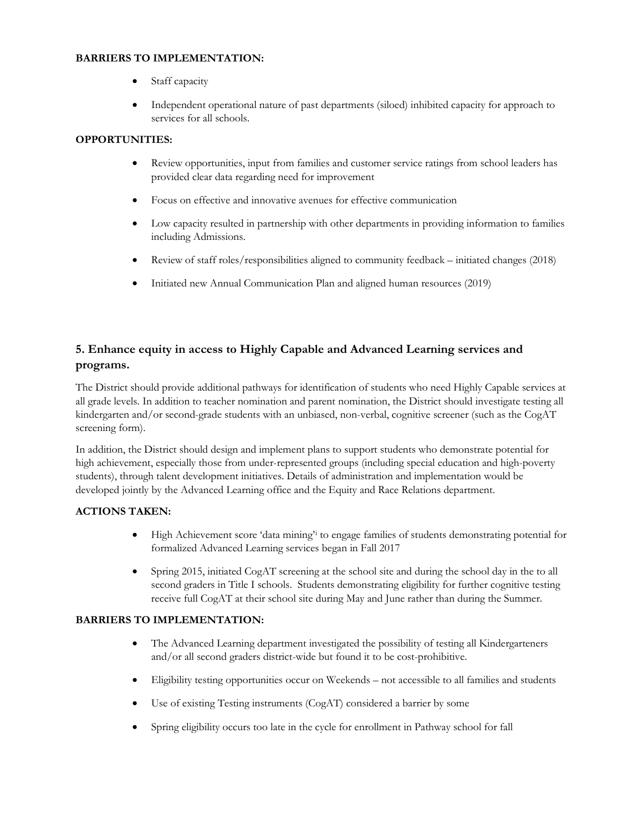#### **BARRIERS TO IMPLEMENTATION:**

- Staff capacity
- • Independent operational nature of past departments (siloed) inhibited capacity for approach to services for all schools.

#### **OPPORTUNITIES:**

- Review opportunities, input from families and customer service ratings from school leaders has provided clear data regarding need for improvement
- Focus on effective and innovative avenues for effective communication
- Low capacity resulted in partnership with other departments in providing information to families including Admissions.
- Review of staff roles/responsibilities aligned to community feedback initiated changes (2018)
- Initiated new Annual Communication Plan and aligned human resources (2019)

## **5. Enhance equity in access to Highly Capable and Advanced Learning services and programs.**

 The District should provide additional pathways for identification of students who need Highly Capable services at all grade levels. In addition to teacher nomination and parent nomination, the District should investigate testing all kindergarten and/or second-grade students with an unbiased, non-verbal, cognitive screener (such as the CogAT screening form).

 students), through talent development initiatives. Details of administration and implementation would be developed jointly by the Advanced Learning office and the Equity and Race Relations department. In addition, the District should design and implement plans to support students who demonstrate potential for high achievement, especially those from under-represented groups (including special education and high-poverty

#### **ACTIONS TAKEN:**

- • High Achievement score 'data mining['i](#page-2-0) to engage families of students demonstrating potential for formalized Advanced Learning services began in Fall 2017
- • Spring 2015, initiated CogAT screening at the school site and during the school day in the to all second graders in Title I schools. Students demonstrating eligibility for further cognitive testing receive full CogAT at their school site during May and June rather than during the Summer.

#### **BARRIERS TO IMPLEMENTATION:**

- • The Advanced Learning department investigated the possibility of testing all Kindergarteners and/or all second graders district-wide but found it to be cost-prohibitive.
- Eligibility testing opportunities occur on Weekends not accessible to all families and students
- Use of existing Testing instruments (CogAT) considered a barrier by some
- Spring eligibility occurs too late in the cycle for enrollment in Pathway school for fall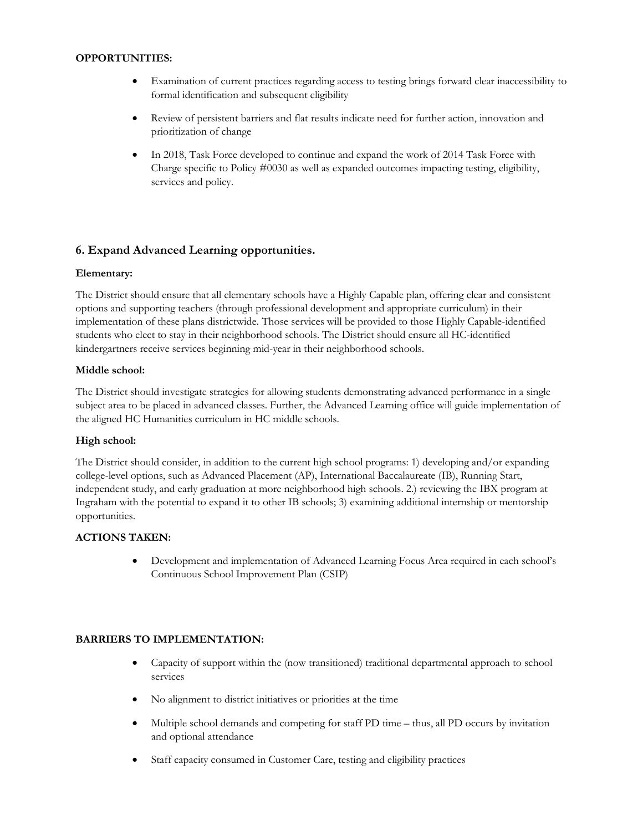#### **OPPORTUNITIES:**

- • Examination of current practices regarding access to testing brings forward clear inaccessibility to formal identification and subsequent eligibility
- • Review of persistent barriers and flat results indicate need for further action, innovation and prioritization of change
- • In 2018, Task Force developed to continue and expand the work of 2014 Task Force with Charge specific to Policy #0030 as well as expanded outcomes impacting testing, eligibility, services and policy.

## **6. Expand Advanced Learning opportunities.**

#### **Elementary:**

 The District should ensure that all elementary schools have a Highly Capable plan, offering clear and consistent options and supporting teachers (through professional development and appropriate curriculum) in their implementation of these plans districtwide. Those services will be provided to those Highly Capable-identified students who elect to stay in their neighborhood schools. The District should ensure all HC-identified kindergartners receive services beginning mid-year in their neighborhood schools.

#### **Middle school:**

 The District should investigate strategies for allowing students demonstrating advanced performance in a single subject area to be placed in advanced classes. Further, the Advanced Learning office will guide implementation of the aligned HC Humanities curriculum in HC middle schools.

#### **High school:**

 college-level options, such as Advanced Placement (AP), International Baccalaureate (IB), Running Start, The District should consider, in addition to the current high school programs: 1) developing and/or expanding independent study, and early graduation at more neighborhood high schools. 2.) reviewing the IBX program at Ingraham with the potential to expand it to other IB schools; 3) examining additional internship or mentorship opportunities.

#### **ACTIONS TAKEN:**

 Continuous School Improvement Plan (CSIP) • Development and implementation of Advanced Learning Focus Area required in each school's

#### **BARRIERS TO IMPLEMENTATION:**

- • Capacity of support within the (now transitioned) traditional departmental approach to school services
- No alignment to district initiatives or priorities at the time
- • Multiple school demands and competing for staff PD time thus, all PD occurs by invitation and optional attendance
- Staff capacity consumed in Customer Care, testing and eligibility practices